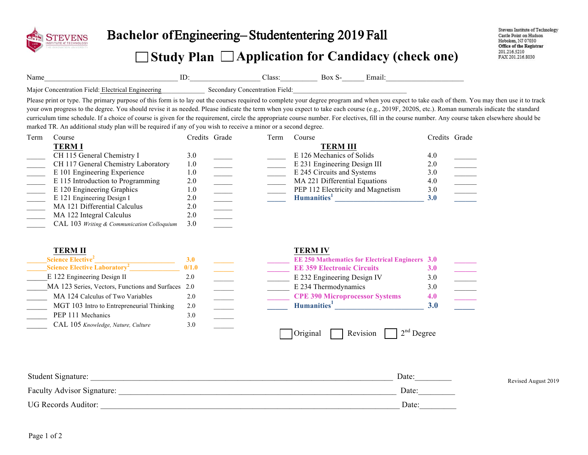

## Bachelor of Engineering-Student entering 2019 Fall

## **Study Plan Application for Candidacy (check one)**

Name\_\_\_\_\_\_\_\_\_\_\_\_\_\_\_\_\_\_\_\_\_\_\_\_\_\_\_\_\_\_\_\_\_\_\_\_ ID:\_\_\_\_\_\_\_\_\_\_\_\_\_\_\_\_\_\_\_ Class:\_\_\_\_\_\_\_\_\_\_ Box S-\_\_\_\_\_\_ Email:\_\_\_\_\_\_\_\_\_\_\_\_\_\_\_\_\_\_\_\_\_

Major Concentration Field: Electrical Engineering Secondary Concentration Field:

Please print or type. The primary purpose of this form is to lay out the courses required to complete your degree program and when you expect to take each of them. You may then use it to track your own progress to the degree. You should revise it as needed. Please indicate the term when you expect to take each course (e.g., 2019F, 2020S, etc.). Roman numerals indicate the standard curriculum time schedule. If a choice of course is given for the requirement, circle the appropriate course number. For electives, fill in the course number. Any course taken elsewhere should be marked TR. An additional study plan will be required if any of you wish to receive a minor or a second degree.

| Term | Course                                     | Credits Grade | Term | Course                            | Credits Grade |  |
|------|--------------------------------------------|---------------|------|-----------------------------------|---------------|--|
|      | <b>TERMI</b>                               |               |      | <b>TERM III</b>                   |               |  |
|      | CH 115 General Chemistry I                 | 3.0           |      | E 126 Mechanics of Solids         | 4.0           |  |
|      | CH 117 General Chemistry Laboratory        | 1.0           |      | E 231 Engineering Design III      | 2.0           |  |
|      | E 101 Engineering Experience               | 1.0           |      | E 245 Circuits and Systems        | 3.0           |  |
|      | E 115 Introduction to Programming          | 2.0           |      | MA 221 Differential Equations     | 4.0           |  |
|      | E 120 Engineering Graphics                 | 1.0           |      | PEP 112 Electricity and Magnetism | 3.0           |  |
|      | E 121 Engineering Design I                 | 2.0           |      | Humanities <sup>1</sup>           | <b>3.0</b>    |  |
|      | MA 121 Differential Calculus               | 2.0           |      |                                   |               |  |
|      | MA 122 Integral Calculus                   | 2.0           |      |                                   |               |  |
|      | CAL 103 Writing & Communication Colloquium | 3.0           |      |                                   |               |  |

| <b>TERM II</b>                                     |            | <b>TERM IV</b>                                         |            |
|----------------------------------------------------|------------|--------------------------------------------------------|------------|
| <b>Science Elective</b> <sup>2</sup>               | <b>3.0</b> | <b>EE 250 Mathematics for Electrical Engineers 3.0</b> |            |
| Science Elective Laboratory <sup>2</sup>           | 0/1.0      | <b>EE 359 Electronic Circuits</b>                      | <b>3.0</b> |
| E 122 Engineering Design II                        | 2.0        | E 232 Engineering Design IV                            | 3.0        |
| MA 123 Series, Vectors, Functions and Surfaces 2.0 |            | E 234 Thermodynamics                                   | 3.0        |
| MA 124 Calculus of Two Variables                   | 2.0        | <b>CPE 390 Microprocessor Systems</b>                  | 4.0        |
| MGT 103 Intro to Entrepreneurial Thinking          | 2.0        | Humanities <sup>1</sup>                                | <b>3.0</b> |
| PEP 111 Mechanics                                  | 3.0        |                                                        |            |
| CAL 105 Knowledge, Nature, Culture                 | 3.0        |                                                        |            |
|                                                    |            | $12^{nd}$ Degree<br>Revision<br>Original               |            |

| Student Signature:         | Date: | Revised August 2019 |
|----------------------------|-------|---------------------|
| Faculty Advisor Signature: | Date: |                     |
| <b>UG Records Auditor:</b> | Date: |                     |